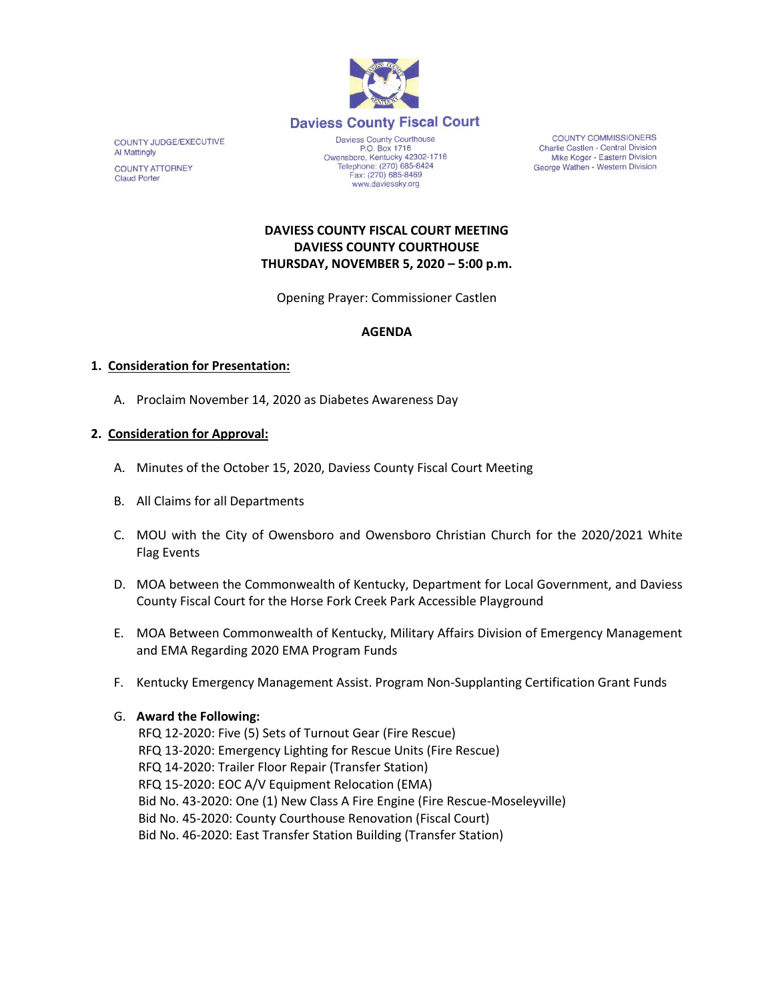

COUNTY JUDGE/EXECUTIVE Al Mattingly **COUNTY ATTORNEY Claud Porter** 

P.O. Box 1716<br>Owensboro, Kentucky 42302-1716<br>Telephone: (270) 685-8424 Fax: (270) 685-8469 www.daviessky.org

**COUNTY COMMISSIONERS** Charlie Castlen - Central Division Mike Koger - Eastern Division George Wathen - Western Division

# **DAVIESS COUNTY FISCAL COURT MEETING DAVIESS COUNTY COURTHOUSE THURSDAY, NOVEMBER 5, 2020 – 5:00 p.m.**

Opening Prayer: Commissioner Castlen

### **AGENDA**

### **1. Consideration for Presentation:**

A. Proclaim November 14, 2020 as Diabetes Awareness Day

### **2. Consideration for Approval:**

- A. Minutes of the October 15, 2020, Daviess County Fiscal Court Meeting
- B. All Claims for all Departments
- C. MOU with the City of Owensboro and Owensboro Christian Church for the 2020/2021 White Flag Events
- D. MOA between the Commonwealth of Kentucky, Department for Local Government, and Daviess County Fiscal Court for the Horse Fork Creek Park Accessible Playground
- E. MOA Between Commonwealth of Kentucky, Military Affairs Division of Emergency Management and EMA Regarding 2020 EMA Program Funds
- F. Kentucky Emergency Management Assist. Program Non-Supplanting Certification Grant Funds

#### G. **Award the Following:**

 RFQ 12-2020: Five (5) Sets of Turnout Gear (Fire Rescue) RFQ 13-2020: Emergency Lighting for Rescue Units (Fire Rescue) RFQ 14-2020: Trailer Floor Repair (Transfer Station) RFQ 15-2020: EOC A/V Equipment Relocation (EMA) Bid No. 43-2020: One (1) New Class A Fire Engine (Fire Rescue-Moseleyville) Bid No. 45-2020: County Courthouse Renovation (Fiscal Court) Bid No. 46-2020: East Transfer Station Building (Transfer Station)